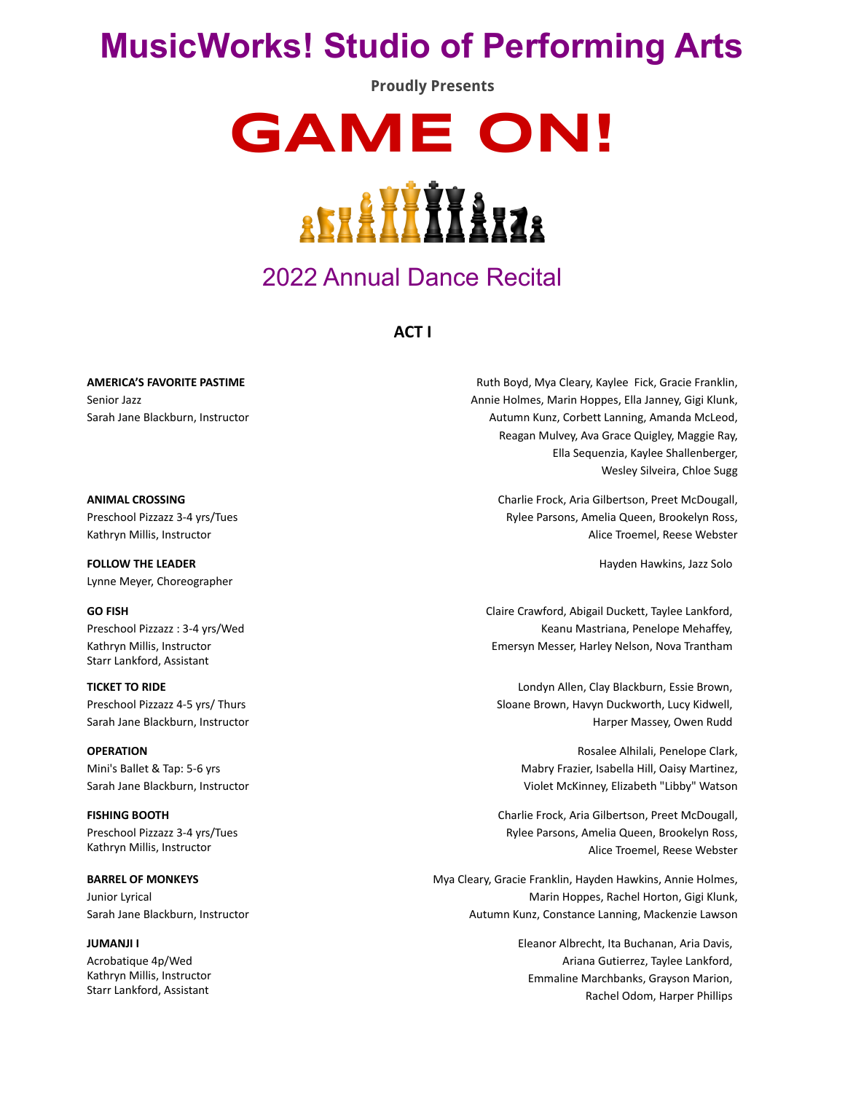# **MusicWorks! Studio of Performing Arts**

**Proudly Presents**

**GAME ON!**



## 2022 Annual Dance Recital

**ACT I**

**AMERICA'S FAVORITE PASTIME** Senior Jazz Sarah Jane Blackburn, Instructor

**ANIMAL CROSSING** Preschool Pizzazz 3-4 yrs/Tues Kathryn Millis, Instructor

**FOLLOW THE LEADER** Lynne Meyer, Choreographer

**GO FISH** Preschool Pizzazz : 3-4 yrs/Wed Kathryn Millis, Instructor Starr Lankford, Assistant

**TICKET TO RIDE** Preschool Pizzazz 4-5 yrs/ Thurs Sarah Jane Blackburn, Instructor

**OPERATION** Mini's Ballet & Tap: 5-6 yrs Sarah Jane Blackburn, Instructor

**FISHING BOOTH** Preschool Pizzazz 3-4 yrs/Tues Kathryn Millis, Instructor

**BARREL OF MONKEYS** Junior Lyrical Sarah Jane Blackburn, Instructor

**JUMANJI I**

Acrobatique 4p/Wed Kathryn Millis, Instructor Starr Lankford, Assistant

Ruth Boyd, Mya Cleary, Kaylee Fick, Gracie Franklin, Annie Holmes, Marin Hoppes, Ella Janney, Gigi Klunk, Autumn Kunz, Corbett Lanning, Amanda McLeod, Reagan Mulvey, Ava Grace Quigley, Maggie Ray, Ella Sequenzia, Kaylee Shallenberger, Wesley Silveira, Chloe Sugg

> Charlie Frock, Aria Gilbertson, Preet McDougall, Rylee Parsons, Amelia Queen, Brookelyn Ross, Alice Troemel, Reese Webster

> > Hayden Hawkins, Jazz Solo

Claire Crawford, Abigail Duckett, Taylee Lankford, Keanu Mastriana, Penelope Mehaffey, Emersyn Messer, Harley Nelson, Nova Trantham

Londyn Allen, Clay Blackburn, Essie Brown, Sloane Brown, Havyn Duckworth, Lucy Kidwell, Harper Massey, Owen Rudd

> Rosalee Alhilali, Penelope Clark, Mabry Frazier, Isabella Hill, Oaisy Martinez, Violet McKinney, Elizabeth "Libby" Watson

Charlie Frock, Aria Gilbertson, Preet McDougall, Rylee Parsons, Amelia Queen, Brookelyn Ross, Alice Troemel, Reese Webster

Mya Cleary, Gracie Franklin, Hayden Hawkins, Annie Holmes, Marin Hoppes, Rachel Horton, Gigi Klunk, Autumn Kunz, Constance Lanning, Mackenzie Lawson

> Eleanor Albrecht, Ita Buchanan, Aria Davis, Ariana Gutierrez, Taylee Lankford, Emmaline Marchbanks, Grayson Marion, Rachel Odom, Harper Phillips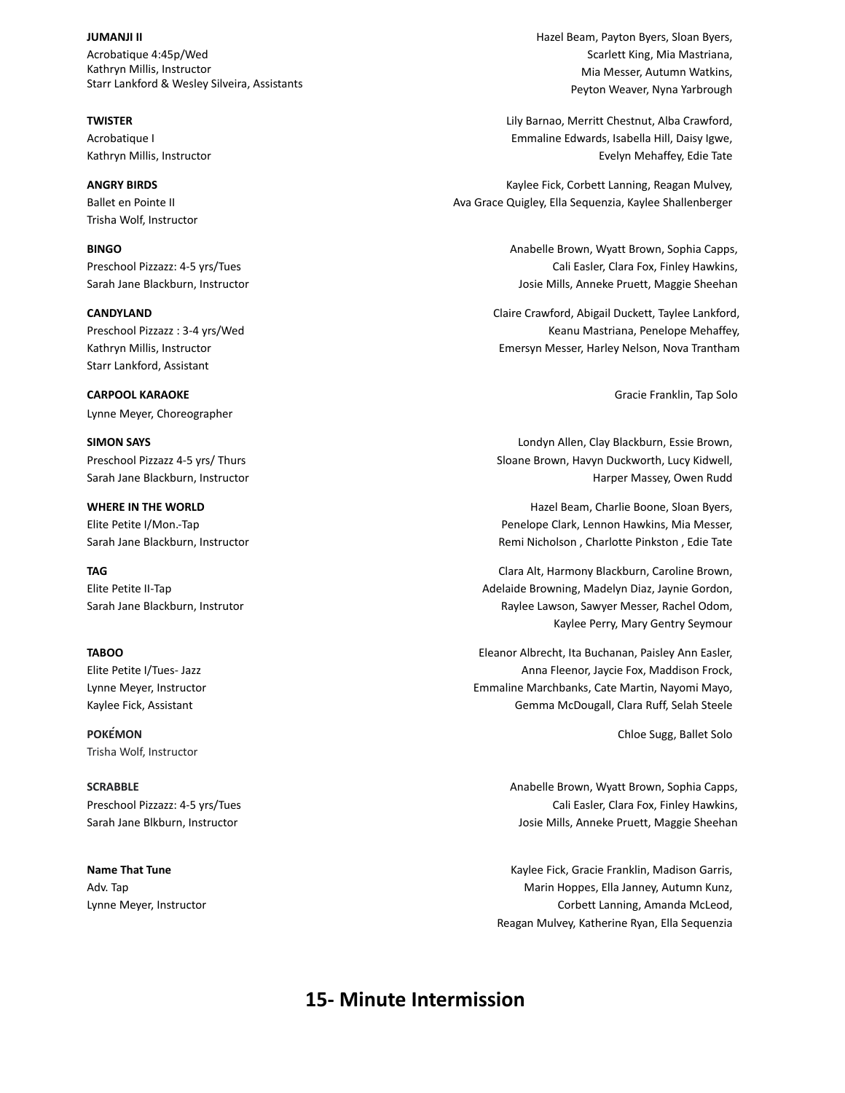**JUMANJI II** Acrobatique 4:45p/Wed Kathryn Millis, Instructor Starr Lankford & Wesley Silveira, Assistants

**TWISTER** Acrobatique I Kathryn Millis, Instructor

**ANGRY BIRDS** Ballet en Pointe II Trisha Wolf, Instructor

**BINGO** Preschool Pizzazz: 4-5 yrs/Tues Sarah Jane Blackburn, Instructor

**CANDYLAND** Preschool Pizzazz : 3-4 yrs/Wed Kathryn Millis, Instructor Starr Lankford, Assistant

**CARPOOL KARAOKE** Lynne Meyer, Choreographer

**SIMON SAYS** Preschool Pizzazz 4-5 yrs/ Thurs Sarah Jane Blackburn, Instructor

**WHERE IN THE WORLD** Elite Petite I/Mon.-Tap Sarah Jane Blackburn, Instructor

**TAG** Elite Petite II-Tap Sarah Jane Blackburn, Instrutor

**TABOO** Elite Petite I/Tues- Jazz

Lynne Meyer, Instructor Kaylee Fick, Assistant

**POKÉMON** Trisha Wolf, Instructor

**SCRABBLE** Preschool Pizzazz: 4-5 yrs/Tues Sarah Jane Blkburn, Instructor

**Name That Tune** Adv. Tap Lynne Meyer, Instructor Hazel Beam, Payton Byers, Sloan Byers, Scarlett King, Mia Mastriana, Mia Messer, Autumn Watkins, Peyton Weaver, Nyna Yarbrough

Lily Barnao, Merritt Chestnut, Alba Crawford, Emmaline Edwards, Isabella Hill, Daisy Igwe, Evelyn Mehaffey, Edie Tate

Kaylee Fick, Corbett Lanning, Reagan Mulvey, Ava Grace Quigley, Ella Sequenzia, Kaylee Shallenberger

> Anabelle Brown, Wyatt Brown, Sophia Capps, Cali Easler, Clara Fox, Finley Hawkins, Josie Mills, Anneke Pruett, Maggie Sheehan

Claire Crawford, Abigail Duckett, Taylee Lankford, Keanu Mastriana, Penelope Mehaffey, Emersyn Messer, Harley Nelson, Nova Trantham

Gracie Franklin, Tap Solo

Londyn Allen, Clay Blackburn, Essie Brown, Sloane Brown, Havyn Duckworth, Lucy Kidwell, Harper Massey, Owen Rudd

Hazel Beam, Charlie Boone, Sloan Byers, Penelope Clark, Lennon Hawkins, Mia Messer, Remi Nicholson , Charlotte Pinkston , Edie Tate

Clara Alt, Harmony Blackburn, Caroline Brown, Adelaide Browning, Madelyn Diaz, Jaynie Gordon, Raylee Lawson, Sawyer Messer, Rachel Odom, Kaylee Perry, Mary Gentry Seymour

Eleanor Albrecht, Ita Buchanan, Paisley Ann Easler, Anna Fleenor, Jaycie Fox, Maddison Frock, Emmaline Marchbanks, Cate Martin, Nayomi Mayo, Gemma McDougall, Clara Ruff, Selah Steele

Chloe Sugg, Ballet Solo

Anabelle Brown, Wyatt Brown, Sophia Capps, Cali Easler, Clara Fox, Finley Hawkins, Josie Mills, Anneke Pruett, Maggie Sheehan

Kaylee Fick, Gracie Franklin, Madison Garris, Marin Hoppes, Ella Janney, Autumn Kunz, Corbett Lanning, Amanda McLeod, Reagan Mulvey, Katherine Ryan, Ella Sequenzia

### **15- Minute Intermission**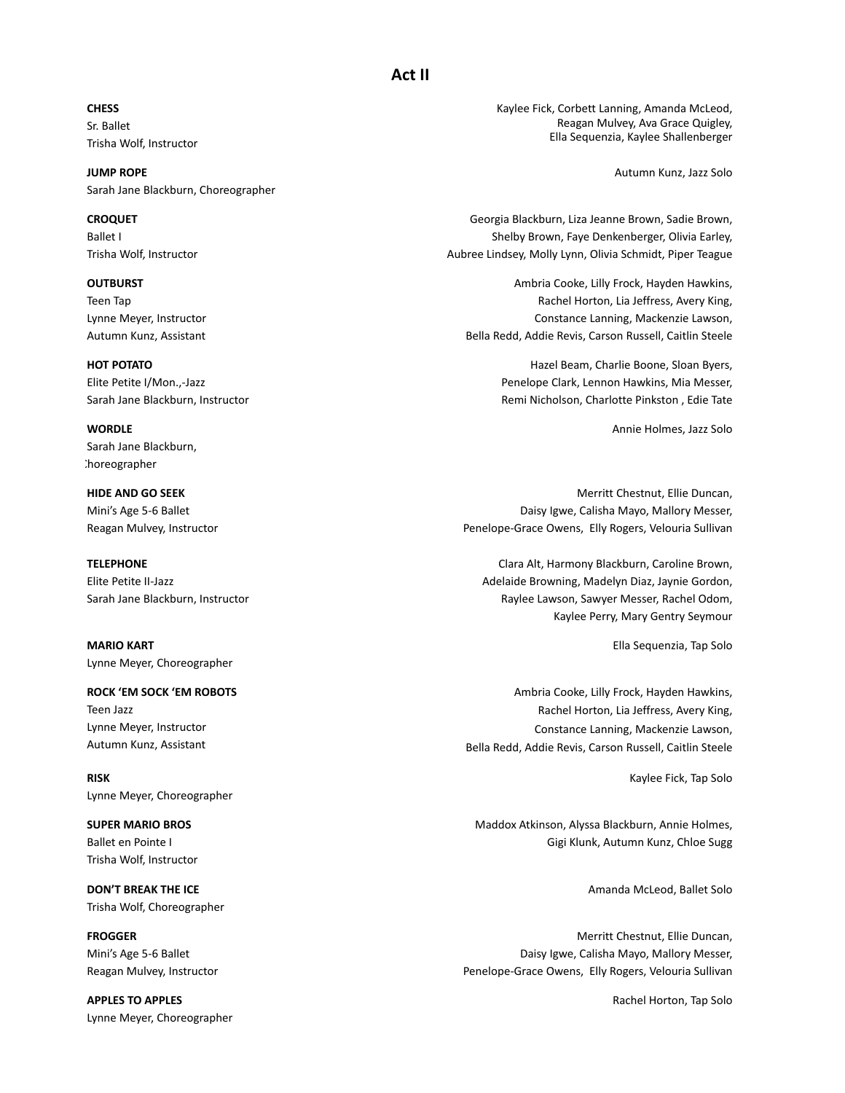**CHESS** Sr. Ballet Trisha Wolf, Instructor

**JUMP ROPE** Sarah Jane Blackburn, Choreographer

**CROQUET** Ballet I Trisha Wolf, Instructor

**OUTBURST** Teen Tap Lynne Meyer, Instructor Autumn Kunz, Assistant

**HOT POTATO** Elite Petite I/Mon.,-Jazz Sarah Jane Blackburn, Instructor

**WORDLE** Sarah Jane Blackburn, :horeographer

**HIDE AND GO SEEK** Mini's Age 5-6 Ballet Reagan Mulvey, Instructor

**TELEPHONE** Elite Petite II-Jazz Sarah Jane Blackburn, Instructor

**MARIO KART** Lynne Meyer, Choreographer

**ROCK 'EM SOCK 'EM ROBOTS** Teen Jazz Lynne Meyer, Instructor Autumn Kunz, Assistant

**RISK** Lynne Meyer, Choreographer

**SUPER MARIO BROS** Ballet en Pointe I Trisha Wolf, Instructor

**DON'T BREAK THE ICE** Trisha Wolf, Choreographer

**FROGGER** Mini's Age 5-6 Ballet Reagan Mulvey, Instructor

**APPLES TO APPLES** Lynne Meyer, Choreographer Kaylee Fick, Corbett Lanning, Amanda McLeod, Reagan Mulvey, Ava Grace Quigley, Ella Sequenzia, Kaylee Shallenberger

Autumn Kunz, Jazz Solo

Georgia Blackburn, Liza Jeanne Brown, Sadie Brown, Shelby Brown, Faye Denkenberger, Olivia Earley, Aubree Lindsey, Molly Lynn, Olivia Schmidt, Piper Teague

Ambria Cooke, Lilly Frock, Hayden Hawkins, Rachel Horton, Lia Jeffress, Avery King, Constance Lanning, Mackenzie Lawson, Bella Redd, Addie Revis, Carson Russell, Caitlin Steele

> Hazel Beam, Charlie Boone, Sloan Byers, Penelope Clark, Lennon Hawkins, Mia Messer, Remi Nicholson, Charlotte Pinkston , Edie Tate

> > Annie Holmes, Jazz Solo

Merritt Chestnut, Ellie Duncan, Daisy Igwe, Calisha Mayo, Mallory Messer, Penelope-Grace Owens, Elly Rogers, Velouria Sullivan

Clara Alt, Harmony Blackburn, Caroline Brown, Adelaide Browning, Madelyn Diaz, Jaynie Gordon, Raylee Lawson, Sawyer Messer, Rachel Odom, Kaylee Perry, Mary Gentry Seymour

Ella Sequenzia, Tap Solo

Ambria Cooke, Lilly Frock, Hayden Hawkins, Rachel Horton, Lia Jeffress, Avery King, Constance Lanning, Mackenzie Lawson, Bella Redd, Addie Revis, Carson Russell, Caitlin Steele

Kaylee Fick, Tap Solo

Maddox Atkinson, Alyssa Blackburn, Annie Holmes, Gigi Klunk, Autumn Kunz, Chloe Sugg

Amanda McLeod, Ballet Solo

Merritt Chestnut, Ellie Duncan, Daisy Igwe, Calisha Mayo, Mallory Messer, Penelope-Grace Owens, Elly Rogers, Velouria Sullivan

Rachel Horton, Tap Solo

#### **Act II**